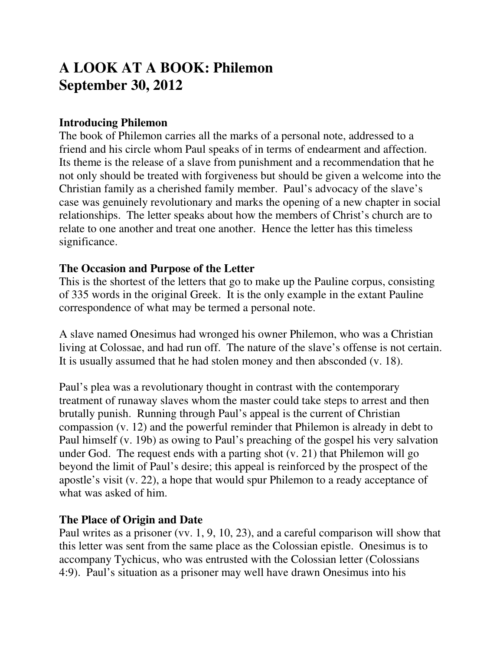# **A LOOK AT A BOOK: Philemon September 30, 2012**

#### **Introducing Philemon**

The book of Philemon carries all the marks of a personal note, addressed to a friend and his circle whom Paul speaks of in terms of endearment and affection. Its theme is the release of a slave from punishment and a recommendation that he not only should be treated with forgiveness but should be given a welcome into the Christian family as a cherished family member. Paul's advocacy of the slave's case was genuinely revolutionary and marks the opening of a new chapter in social relationships. The letter speaks about how the members of Christ's church are to relate to one another and treat one another. Hence the letter has this timeless significance.

#### **The Occasion and Purpose of the Letter**

This is the shortest of the letters that go to make up the Pauline corpus, consisting of 335 words in the original Greek. It is the only example in the extant Pauline correspondence of what may be termed a personal note.

A slave named Onesimus had wronged his owner Philemon, who was a Christian living at Colossae, and had run off. The nature of the slave's offense is not certain. It is usually assumed that he had stolen money and then absconded (v. 18).

Paul's plea was a revolutionary thought in contrast with the contemporary treatment of runaway slaves whom the master could take steps to arrest and then brutally punish. Running through Paul's appeal is the current of Christian compassion (v. 12) and the powerful reminder that Philemon is already in debt to Paul himself (v. 19b) as owing to Paul's preaching of the gospel his very salvation under God. The request ends with a parting shot (v. 21) that Philemon will go beyond the limit of Paul's desire; this appeal is reinforced by the prospect of the apostle's visit (v. 22), a hope that would spur Philemon to a ready acceptance of what was asked of him.

#### **The Place of Origin and Date**

Paul writes as a prisoner (vv. 1, 9, 10, 23), and a careful comparison will show that this letter was sent from the same place as the Colossian epistle. Onesimus is to accompany Tychicus, who was entrusted with the Colossian letter (Colossians 4:9). Paul's situation as a prisoner may well have drawn Onesimus into his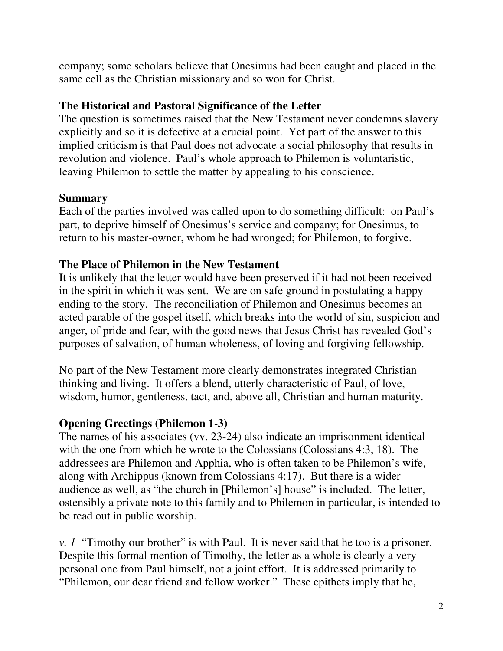company; some scholars believe that Onesimus had been caught and placed in the same cell as the Christian missionary and so won for Christ.

## **The Historical and Pastoral Significance of the Letter**

The question is sometimes raised that the New Testament never condemns slavery explicitly and so it is defective at a crucial point. Yet part of the answer to this implied criticism is that Paul does not advocate a social philosophy that results in revolution and violence. Paul's whole approach to Philemon is voluntaristic, leaving Philemon to settle the matter by appealing to his conscience.

# **Summary**

Each of the parties involved was called upon to do something difficult: on Paul's part, to deprive himself of Onesimus's service and company; for Onesimus, to return to his master-owner, whom he had wronged; for Philemon, to forgive.

# **The Place of Philemon in the New Testament**

It is unlikely that the letter would have been preserved if it had not been received in the spirit in which it was sent. We are on safe ground in postulating a happy ending to the story. The reconciliation of Philemon and Onesimus becomes an acted parable of the gospel itself, which breaks into the world of sin, suspicion and anger, of pride and fear, with the good news that Jesus Christ has revealed God's purposes of salvation, of human wholeness, of loving and forgiving fellowship.

No part of the New Testament more clearly demonstrates integrated Christian thinking and living. It offers a blend, utterly characteristic of Paul, of love, wisdom, humor, gentleness, tact, and, above all, Christian and human maturity.

# **Opening Greetings (Philemon 1-3)**

The names of his associates (vv. 23-24) also indicate an imprisonment identical with the one from which he wrote to the Colossians (Colossians 4:3, 18). The addressees are Philemon and Apphia, who is often taken to be Philemon's wife, along with Archippus (known from Colossians 4:17). But there is a wider audience as well, as "the church in [Philemon's] house" is included. The letter, ostensibly a private note to this family and to Philemon in particular, is intended to be read out in public worship.

*v. 1* "Timothy our brother" is with Paul. It is never said that he too is a prisoner. Despite this formal mention of Timothy, the letter as a whole is clearly a very personal one from Paul himself, not a joint effort. It is addressed primarily to "Philemon, our dear friend and fellow worker." These epithets imply that he,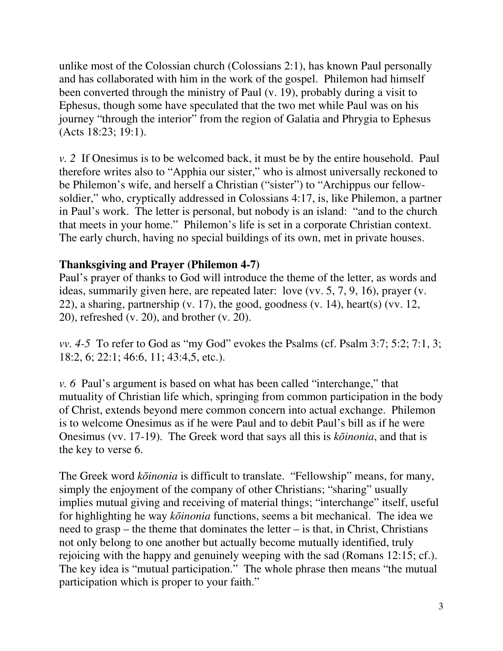unlike most of the Colossian church (Colossians 2:1), has known Paul personally and has collaborated with him in the work of the gospel. Philemon had himself been converted through the ministry of Paul (v. 19), probably during a visit to Ephesus, though some have speculated that the two met while Paul was on his journey "through the interior" from the region of Galatia and Phrygia to Ephesus (Acts 18:23; 19:1).

*v. 2* If Onesimus is to be welcomed back, it must be by the entire household. Paul therefore writes also to "Apphia our sister," who is almost universally reckoned to be Philemon's wife, and herself a Christian ("sister") to "Archippus our fellowsoldier," who, cryptically addressed in Colossians 4:17, is, like Philemon, a partner in Paul's work. The letter is personal, but nobody is an island: "and to the church that meets in your home." Philemon's life is set in a corporate Christian context. The early church, having no special buildings of its own, met in private houses.

## **Thanksgiving and Prayer (Philemon 4-7)**

Paul's prayer of thanks to God will introduce the theme of the letter, as words and ideas, summarily given here, are repeated later: love (vv. 5, 7, 9, 16), prayer (v. 22), a sharing, partnership  $(v. 17)$ , the good, goodness  $(v. 14)$ , heart $(s)$  (vv. 12, 20), refreshed (v. 20), and brother (v. 20).

*vv. 4-5* To refer to God as "my God" evokes the Psalms (cf. Psalm 3:7; 5:2; 7:1, 3; 18:2, 6; 22:1; 46:6, 11; 43:4,5, etc.).

*v. 6* Paul's argument is based on what has been called "interchange," that mutuality of Christian life which, springing from common participation in the body of Christ, extends beyond mere common concern into actual exchange. Philemon is to welcome Onesimus as if he were Paul and to debit Paul's bill as if he were Onesimus (vv. 17-19). The Greek word that says all this is *k*ō*inonia*, and that is the key to verse 6.

The Greek word *k*ō*inonia* is difficult to translate. "Fellowship" means, for many, simply the enjoyment of the company of other Christians; "sharing" usually implies mutual giving and receiving of material things; "interchange" itself, useful for highlighting he way *k*ō*inonia* functions, seems a bit mechanical. The idea we need to grasp – the theme that dominates the letter – is that, in Christ, Christians not only belong to one another but actually become mutually identified, truly rejoicing with the happy and genuinely weeping with the sad (Romans 12:15; cf.). The key idea is "mutual participation." The whole phrase then means "the mutual participation which is proper to your faith."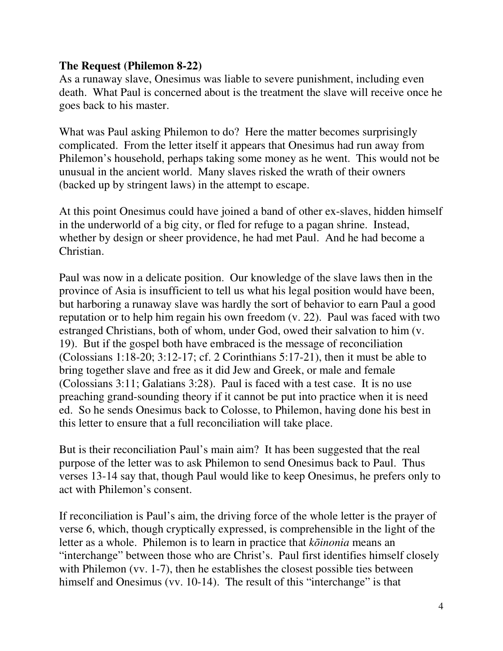### **The Request (Philemon 8-22)**

As a runaway slave, Onesimus was liable to severe punishment, including even death. What Paul is concerned about is the treatment the slave will receive once he goes back to his master.

What was Paul asking Philemon to do? Here the matter becomes surprisingly complicated. From the letter itself it appears that Onesimus had run away from Philemon's household, perhaps taking some money as he went. This would not be unusual in the ancient world. Many slaves risked the wrath of their owners (backed up by stringent laws) in the attempt to escape.

At this point Onesimus could have joined a band of other ex-slaves, hidden himself in the underworld of a big city, or fled for refuge to a pagan shrine. Instead, whether by design or sheer providence, he had met Paul. And he had become a Christian.

Paul was now in a delicate position. Our knowledge of the slave laws then in the province of Asia is insufficient to tell us what his legal position would have been, but harboring a runaway slave was hardly the sort of behavior to earn Paul a good reputation or to help him regain his own freedom (v. 22). Paul was faced with two estranged Christians, both of whom, under God, owed their salvation to him (v. 19). But if the gospel both have embraced is the message of reconciliation (Colossians 1:18-20; 3:12-17; cf. 2 Corinthians 5:17-21), then it must be able to bring together slave and free as it did Jew and Greek, or male and female (Colossians 3:11; Galatians 3:28). Paul is faced with a test case. It is no use preaching grand-sounding theory if it cannot be put into practice when it is need ed. So he sends Onesimus back to Colosse, to Philemon, having done his best in this letter to ensure that a full reconciliation will take place.

But is their reconciliation Paul's main aim? It has been suggested that the real purpose of the letter was to ask Philemon to send Onesimus back to Paul. Thus verses 13-14 say that, though Paul would like to keep Onesimus, he prefers only to act with Philemon's consent.

If reconciliation is Paul's aim, the driving force of the whole letter is the prayer of verse 6, which, though cryptically expressed, is comprehensible in the light of the letter as a whole. Philemon is to learn in practice that *k*ō*inonia* means an "interchange" between those who are Christ's. Paul first identifies himself closely with Philemon (vv. 1-7), then he establishes the closest possible ties between himself and Onesimus (vv. 10-14). The result of this "interchange" is that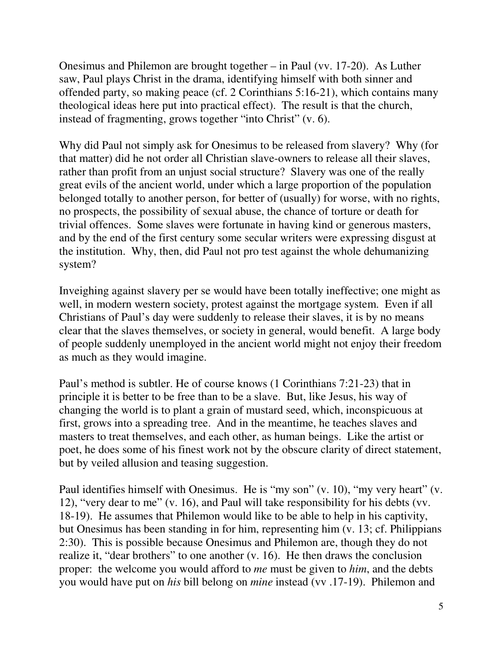Onesimus and Philemon are brought together – in Paul (vv. 17-20). As Luther saw, Paul plays Christ in the drama, identifying himself with both sinner and offended party, so making peace (cf. 2 Corinthians 5:16-21), which contains many theological ideas here put into practical effect). The result is that the church, instead of fragmenting, grows together "into Christ" (v. 6).

Why did Paul not simply ask for Onesimus to be released from slavery? Why (for that matter) did he not order all Christian slave-owners to release all their slaves, rather than profit from an unjust social structure? Slavery was one of the really great evils of the ancient world, under which a large proportion of the population belonged totally to another person, for better of (usually) for worse, with no rights, no prospects, the possibility of sexual abuse, the chance of torture or death for trivial offences. Some slaves were fortunate in having kind or generous masters, and by the end of the first century some secular writers were expressing disgust at the institution. Why, then, did Paul not pro test against the whole dehumanizing system?

Inveighing against slavery per se would have been totally ineffective; one might as well, in modern western society, protest against the mortgage system. Even if all Christians of Paul's day were suddenly to release their slaves, it is by no means clear that the slaves themselves, or society in general, would benefit. A large body of people suddenly unemployed in the ancient world might not enjoy their freedom as much as they would imagine.

Paul's method is subtler. He of course knows (1 Corinthians 7:21-23) that in principle it is better to be free than to be a slave. But, like Jesus, his way of changing the world is to plant a grain of mustard seed, which, inconspicuous at first, grows into a spreading tree. And in the meantime, he teaches slaves and masters to treat themselves, and each other, as human beings. Like the artist or poet, he does some of his finest work not by the obscure clarity of direct statement, but by veiled allusion and teasing suggestion.

Paul identifies himself with Onesimus. He is "my son" (v. 10), "my very heart" (v. 12), "very dear to me" (v. 16), and Paul will take responsibility for his debts (vv. 18-19). He assumes that Philemon would like to be able to help in his captivity, but Onesimus has been standing in for him, representing him (v. 13; cf. Philippians 2:30). This is possible because Onesimus and Philemon are, though they do not realize it, "dear brothers" to one another (v. 16). He then draws the conclusion proper: the welcome you would afford to *me* must be given to *him*, and the debts you would have put on *his* bill belong on *mine* instead (vv .17-19). Philemon and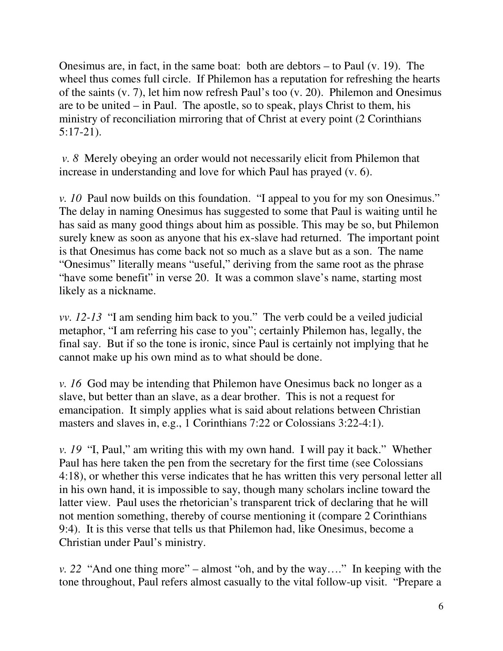Onesimus are, in fact, in the same boat: both are debtors – to Paul (v. 19). The wheel thus comes full circle. If Philemon has a reputation for refreshing the hearts of the saints (v. 7), let him now refresh Paul's too (v. 20). Philemon and Onesimus are to be united – in Paul. The apostle, so to speak, plays Christ to them, his ministry of reconciliation mirroring that of Christ at every point (2 Corinthians 5:17-21).

 *v. 8* Merely obeying an order would not necessarily elicit from Philemon that increase in understanding and love for which Paul has prayed (v. 6).

*v. 10* Paul now builds on this foundation. "I appeal to you for my son Onesimus." The delay in naming Onesimus has suggested to some that Paul is waiting until he has said as many good things about him as possible. This may be so, but Philemon surely knew as soon as anyone that his ex-slave had returned. The important point is that Onesimus has come back not so much as a slave but as a son. The name "Onesimus" literally means "useful," deriving from the same root as the phrase "have some benefit" in verse 20. It was a common slave's name, starting most likely as a nickname.

*vv. 12-13* "I am sending him back to you." The verb could be a veiled judicial metaphor, "I am referring his case to you"; certainly Philemon has, legally, the final say. But if so the tone is ironic, since Paul is certainly not implying that he cannot make up his own mind as to what should be done.

*v. 16* God may be intending that Philemon have Onesimus back no longer as a slave, but better than an slave, as a dear brother. This is not a request for emancipation. It simply applies what is said about relations between Christian masters and slaves in, e.g., 1 Corinthians 7:22 or Colossians 3:22-4:1).

*v. 19* "I, Paul," am writing this with my own hand. I will pay it back." Whether Paul has here taken the pen from the secretary for the first time (see Colossians 4:18), or whether this verse indicates that he has written this very personal letter all in his own hand, it is impossible to say, though many scholars incline toward the latter view. Paul uses the rhetorician's transparent trick of declaring that he will not mention something, thereby of course mentioning it (compare 2 Corinthians 9:4). It is this verse that tells us that Philemon had, like Onesimus, become a Christian under Paul's ministry.

*v. 22* "And one thing more" – almost "oh, and by the way…." In keeping with the tone throughout, Paul refers almost casually to the vital follow-up visit. "Prepare a